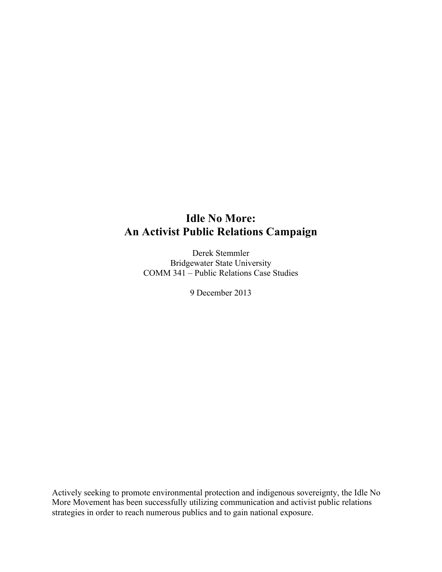## **Idle No More: An Activist Public Relations Campaign**

Derek Stemmler Bridgewater State University COMM 341 – Public Relations Case Studies

9 December 2013

Actively seeking to promote environmental protection and indigenous sovereignty, the Idle No More Movement has been successfully utilizing communication and activist public relations strategies in order to reach numerous publics and to gain national exposure.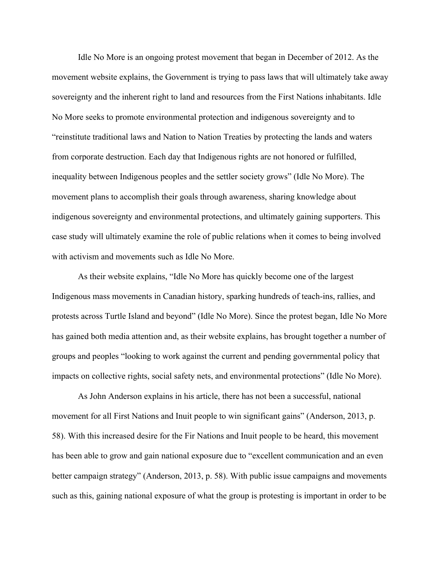Idle No More is an ongoing protest movement that began in December of 2012. As the movement website explains, the Government is trying to pass laws that will ultimately take away sovereignty and the inherent right to land and resources from the First Nations inhabitants. Idle No More seeks to promote environmental protection and indigenous sovereignty and to "reinstitute traditional laws and Nation to Nation Treaties by protecting the lands and waters from corporate destruction. Each day that Indigenous rights are not honored or fulfilled, inequality between Indigenous peoples and the settler society grows" (Idle No More). The movement plans to accomplish their goals through awareness, sharing knowledge about indigenous sovereignty and environmental protections, and ultimately gaining supporters. This case study will ultimately examine the role of public relations when it comes to being involved with activism and movements such as Idle No More.

As their website explains, "Idle No More has quickly become one of the largest Indigenous mass movements in Canadian history, sparking hundreds of teach-ins, rallies, and protests across Turtle Island and beyond" (Idle No More). Since the protest began, Idle No More has gained both media attention and, as their website explains, has brought together a number of groups and peoples "looking to work against the current and pending governmental policy that impacts on collective rights, social safety nets, and environmental protections" (Idle No More).

As John Anderson explains in his article, there has not been a successful, national movement for all First Nations and Inuit people to win significant gains" (Anderson, 2013, p. 58). With this increased desire for the Fir Nations and Inuit people to be heard, this movement has been able to grow and gain national exposure due to "excellent communication and an even better campaign strategy" (Anderson, 2013, p. 58). With public issue campaigns and movements such as this, gaining national exposure of what the group is protesting is important in order to be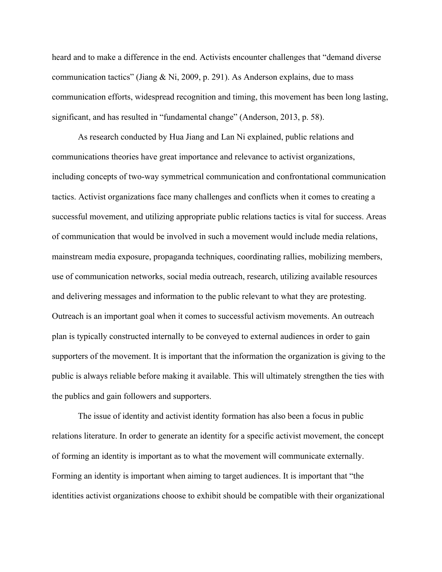heard and to make a difference in the end. Activists encounter challenges that "demand diverse communication tactics" (Jiang & Ni, 2009, p. 291). As Anderson explains, due to mass communication efforts, widespread recognition and timing, this movement has been long lasting, significant, and has resulted in "fundamental change" (Anderson, 2013, p. 58).

As research conducted by Hua Jiang and Lan Ni explained, public relations and communications theories have great importance and relevance to activist organizations, including concepts of two-way symmetrical communication and confrontational communication tactics. Activist organizations face many challenges and conflicts when it comes to creating a successful movement, and utilizing appropriate public relations tactics is vital for success. Areas of communication that would be involved in such a movement would include media relations, mainstream media exposure, propaganda techniques, coordinating rallies, mobilizing members, use of communication networks, social media outreach, research, utilizing available resources and delivering messages and information to the public relevant to what they are protesting. Outreach is an important goal when it comes to successful activism movements. An outreach plan is typically constructed internally to be conveyed to external audiences in order to gain supporters of the movement. It is important that the information the organization is giving to the public is always reliable before making it available. This will ultimately strengthen the ties with the publics and gain followers and supporters.

The issue of identity and activist identity formation has also been a focus in public relations literature. In order to generate an identity for a specific activist movement, the concept of forming an identity is important as to what the movement will communicate externally. Forming an identity is important when aiming to target audiences. It is important that "the identities activist organizations choose to exhibit should be compatible with their organizational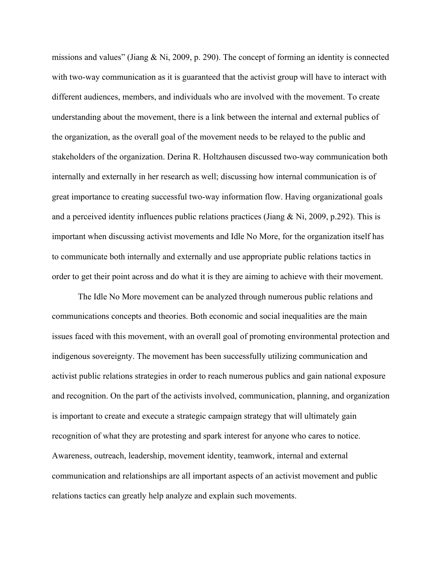missions and values" (Jiang & Ni, 2009, p. 290). The concept of forming an identity is connected with two-way communication as it is guaranteed that the activist group will have to interact with different audiences, members, and individuals who are involved with the movement. To create understanding about the movement, there is a link between the internal and external publics of the organization, as the overall goal of the movement needs to be relayed to the public and stakeholders of the organization. Derina R. Holtzhausen discussed two-way communication both internally and externally in her research as well; discussing how internal communication is of great importance to creating successful two-way information flow. Having organizational goals and a perceived identity influences public relations practices (Jiang  $\&$  Ni, 2009, p.292). This is important when discussing activist movements and Idle No More, for the organization itself has to communicate both internally and externally and use appropriate public relations tactics in order to get their point across and do what it is they are aiming to achieve with their movement.

The Idle No More movement can be analyzed through numerous public relations and communications concepts and theories. Both economic and social inequalities are the main issues faced with this movement, with an overall goal of promoting environmental protection and indigenous sovereignty. The movement has been successfully utilizing communication and activist public relations strategies in order to reach numerous publics and gain national exposure and recognition. On the part of the activists involved, communication, planning, and organization is important to create and execute a strategic campaign strategy that will ultimately gain recognition of what they are protesting and spark interest for anyone who cares to notice. Awareness, outreach, leadership, movement identity, teamwork, internal and external communication and relationships are all important aspects of an activist movement and public relations tactics can greatly help analyze and explain such movements.